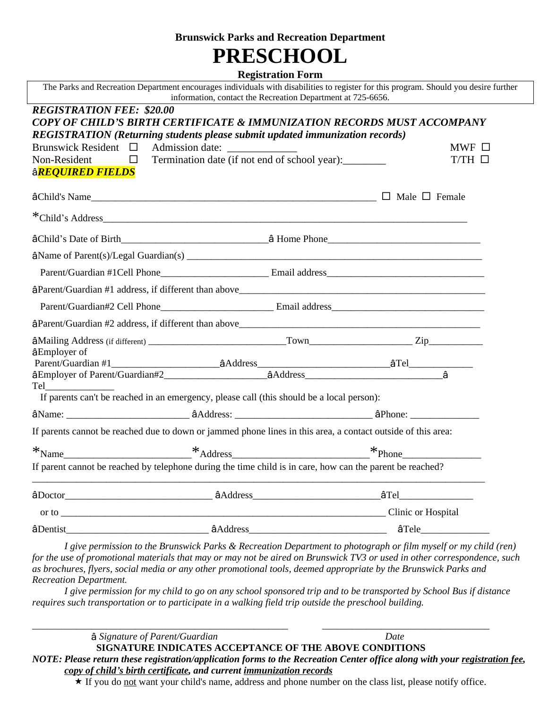#### **Brunswick Parks and Recreation Department**

# **PRESCHOOL**

#### **Registration Form**

|                                                                                                                | information, contact the Recreation Department at 725-6656.                                                  | The Parks and Recreation Department encourages individuals with disabilities to register for this program. Should you desire further |
|----------------------------------------------------------------------------------------------------------------|--------------------------------------------------------------------------------------------------------------|--------------------------------------------------------------------------------------------------------------------------------------|
| <b>REGISTRATION FEE: \$20.00</b>                                                                               |                                                                                                              |                                                                                                                                      |
|                                                                                                                | <b>COPY OF CHILD'S BIRTH CERTIFICATE &amp; IMMUNIZATION RECORDS MUST ACCOMPANY</b>                           |                                                                                                                                      |
|                                                                                                                | REGISTRATION (Returning students please submit updated immunization records)                                 |                                                                                                                                      |
|                                                                                                                |                                                                                                              | $MWF$ $\square$                                                                                                                      |
|                                                                                                                | Brunswick Resident $\Box$ Admission date: $\Box$ Termination date (if not end of school year): $\Box$        | $T/TH \Box$                                                                                                                          |
| â <mark>required fields</mark>                                                                                 |                                                                                                              |                                                                                                                                      |
|                                                                                                                |                                                                                                              |                                                                                                                                      |
|                                                                                                                |                                                                                                              |                                                                                                                                      |
|                                                                                                                |                                                                                                              |                                                                                                                                      |
|                                                                                                                |                                                                                                              |                                                                                                                                      |
|                                                                                                                |                                                                                                              |                                                                                                                                      |
|                                                                                                                |                                                                                                              |                                                                                                                                      |
|                                                                                                                |                                                                                                              |                                                                                                                                      |
|                                                                                                                |                                                                                                              |                                                                                                                                      |
|                                                                                                                |                                                                                                              |                                                                                                                                      |
|                                                                                                                |                                                                                                              |                                                                                                                                      |
| âEmployer of                                                                                                   |                                                                                                              |                                                                                                                                      |
|                                                                                                                |                                                                                                              |                                                                                                                                      |
|                                                                                                                |                                                                                                              |                                                                                                                                      |
| Tel and the state of the state of the state of the state of the state of the state of the state of the state o | If parents can't be reached in an emergency, please call (this should be a local person):                    |                                                                                                                                      |
|                                                                                                                |                                                                                                              |                                                                                                                                      |
|                                                                                                                | If parents cannot be reached due to down or jammed phone lines in this area, a contact outside of this area: |                                                                                                                                      |
|                                                                                                                |                                                                                                              |                                                                                                                                      |
|                                                                                                                | If parent cannot be reached by telephone during the time child is in care, how can the parent be reached?    |                                                                                                                                      |
|                                                                                                                |                                                                                                              |                                                                                                                                      |
|                                                                                                                |                                                                                                              |                                                                                                                                      |
|                                                                                                                |                                                                                                              |                                                                                                                                      |
|                                                                                                                |                                                                                                              |                                                                                                                                      |

*I give permission to the Brunswick Parks & Recreation Department to photograph or film myself or my child (ren) for the use of promotional materials that may or may not be aired on Brunswick TV3 or used in other correspondence, such as brochures, flyers, social media or any other promotional tools, deemed appropriate by the Brunswick Parks and Recreation Department.*

*I give permission for my child to go on any school sponsored trip and to be transported by School Bus if distance requires such transportation or to participate in a walking field trip outside the preschool building.*

*\_\_\_\_\_\_\_\_\_\_\_\_\_\_\_\_\_\_\_\_\_\_\_\_\_\_\_\_\_\_\_\_\_\_\_\_\_\_\_\_\_\_\_\_\_\_\_\_\_\_\_\_ \_\_\_\_\_\_\_\_\_\_\_\_\_\_\_\_\_\_\_\_\_\_\_\_\_\_\_\_\_\_\_\_\_\_*

â *Signature of Parent/Guardian Date*

**SIGNATURE INDICATES ACCEPTANCE OF THE ABOVE CONDITIONS** *NOTE: Please return these registration/application forms to the Recreation Center office along with your registration fee, copy of child's birth certificate, and current immunization records*

\* If you do not want your child's name, address and phone number on the class list, please notify office.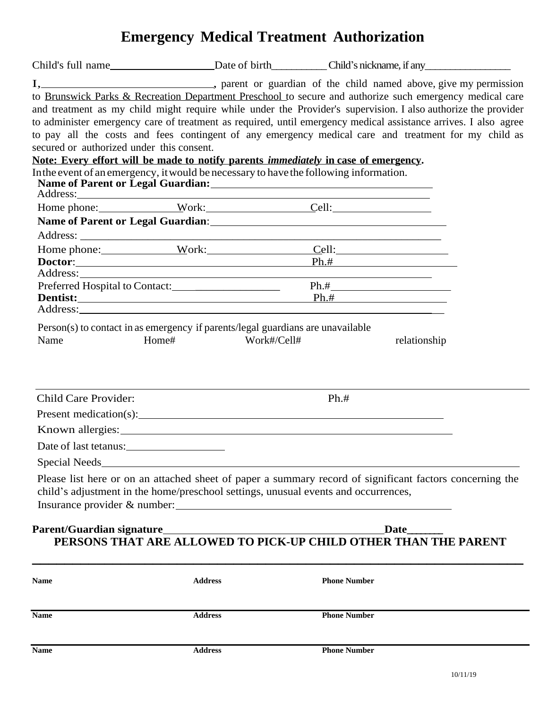# **Emergency Medical Treatment Authorization**

|                                                                                                                                                                                      |                | Child's full name lead birth Child's nickname, if any lead birth child's nickname, if any lead birth Child's nickname, if any lead birth and birth the child's nickname, if any lead birth set if any lead and birth set if an |  |  |  |
|--------------------------------------------------------------------------------------------------------------------------------------------------------------------------------------|----------------|--------------------------------------------------------------------------------------------------------------------------------------------------------------------------------------------------------------------------------|--|--|--|
|                                                                                                                                                                                      |                |                                                                                                                                                                                                                                |  |  |  |
|                                                                                                                                                                                      |                | to Brunswick Parks & Recreation Department Preschool to secure and authorize such emergency medical care                                                                                                                       |  |  |  |
|                                                                                                                                                                                      |                | and treatment as my child might require while under the Provider's supervision. I also authorize the provider                                                                                                                  |  |  |  |
|                                                                                                                                                                                      |                | to administer emergency care of treatment as required, until emergency medical assistance arrives. I also agree                                                                                                                |  |  |  |
|                                                                                                                                                                                      |                | to pay all the costs and fees contingent of any emergency medical care and treatment for my child as                                                                                                                           |  |  |  |
| secured or authorized under this consent.                                                                                                                                            |                |                                                                                                                                                                                                                                |  |  |  |
| Note: Every effort will be made to notify parents <i>immediately</i> in case of emergency.<br>In the event of an emergency, it would be necessary to have the following information. |                |                                                                                                                                                                                                                                |  |  |  |
|                                                                                                                                                                                      |                |                                                                                                                                                                                                                                |  |  |  |
|                                                                                                                                                                                      |                |                                                                                                                                                                                                                                |  |  |  |
|                                                                                                                                                                                      |                | Home phone: Work: Cell:                                                                                                                                                                                                        |  |  |  |
|                                                                                                                                                                                      |                |                                                                                                                                                                                                                                |  |  |  |
|                                                                                                                                                                                      |                |                                                                                                                                                                                                                                |  |  |  |
|                                                                                                                                                                                      |                | Home phone: Work: Cell:                                                                                                                                                                                                        |  |  |  |
|                                                                                                                                                                                      |                | $\textbf{Dot}$ tor: $\textbf{Ph}.\#$                                                                                                                                                                                           |  |  |  |
|                                                                                                                                                                                      |                |                                                                                                                                                                                                                                |  |  |  |
| Preferred Hospital to Contact:                                                                                                                                                       |                | <b>Dentist:</b> Ph.#                                                                                                                                                                                                           |  |  |  |
|                                                                                                                                                                                      |                |                                                                                                                                                                                                                                |  |  |  |
|                                                                                                                                                                                      |                |                                                                                                                                                                                                                                |  |  |  |
| Child Care Provider:                                                                                                                                                                 |                | $Ph.+$                                                                                                                                                                                                                         |  |  |  |
|                                                                                                                                                                                      |                | Present medication(s):                                                                                                                                                                                                         |  |  |  |
|                                                                                                                                                                                      |                |                                                                                                                                                                                                                                |  |  |  |
| Date of last tetanus:                                                                                                                                                                |                |                                                                                                                                                                                                                                |  |  |  |
| Special Needs_                                                                                                                                                                       |                |                                                                                                                                                                                                                                |  |  |  |
|                                                                                                                                                                                      |                | Please list here or on an attached sheet of paper a summary record of significant factors concerning the<br>child's adjustment in the home/preschool settings, unusual events and occurrences,<br>Insurance provider & number: |  |  |  |
| Parent/Guardian signature_<br>Date<br>PERSONS THAT ARE ALLOWED TO PICK-UP CHILD OTHER THAN THE PARENT                                                                                |                |                                                                                                                                                                                                                                |  |  |  |
| <b>Name</b>                                                                                                                                                                          | <b>Address</b> | <b>Phone Number</b>                                                                                                                                                                                                            |  |  |  |
| <b>Name</b>                                                                                                                                                                          | <b>Address</b> | <b>Phone Number</b>                                                                                                                                                                                                            |  |  |  |

**Name Address Phone Number**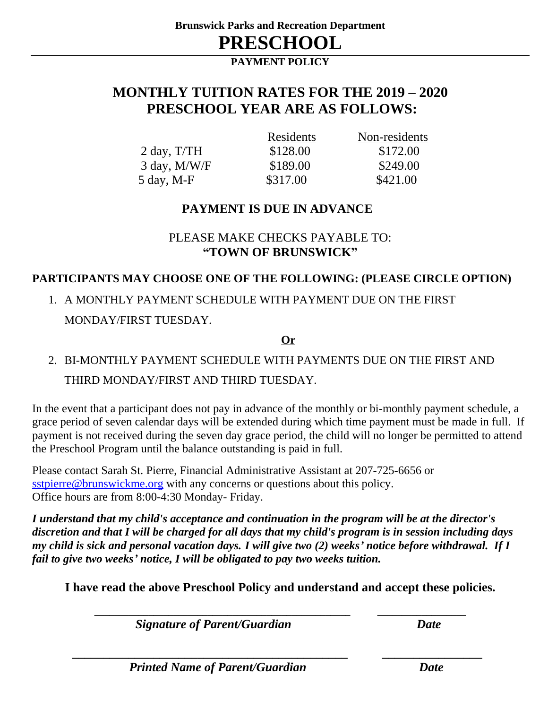**PAYMENT POLICY**

## **MONTHLY TUITION RATES FOR THE 2019 – 2020 PRESCHOOL YEAR ARE AS FOLLOWS:**

|                             | Residents | Non-residents |
|-----------------------------|-----------|---------------|
| $2 \text{ day}, T/TH$       | \$128.00  | \$172.00      |
| $3$ day, M/W/F              | \$189.00  | \$249.00      |
| $5 \text{ day}, \text{M-F}$ | \$317.00  | \$421.00      |

### **PAYMENT IS DUE IN ADVANCE**

### PLEASE MAKE CHECKS PAYABLE TO: **"TOWN OF BRUNSWICK"**

### **PARTICIPANTS MAY CHOOSE ONE OF THE FOLLOWING: (PLEASE CIRCLE OPTION)**

1. A MONTHLY PAYMENT SCHEDULE WITH PAYMENT DUE ON THE FIRST MONDAY/FIRST TUESDAY.

### **Or**

# 2. BI-MONTHLY PAYMENT SCHEDULE WITH PAYMENTS DUE ON THE FIRST AND THIRD MONDAY/FIRST AND THIRD TUESDAY.

In the event that a participant does not pay in advance of the monthly or bi-monthly payment schedule, a grace period of seven calendar days will be extended during which time payment must be made in full. If payment is not received during the seven day grace period, the child will no longer be permitted to attend the Preschool Program until the balance outstanding is paid in full.

Please contact Sarah St. Pierre, Financial Administrative Assistant at 207-725-6656 or [sstpierre@brunswickme.org](mailto:sstpierre@brunswickme.org) with any concerns or questions about this policy. Office hours are from 8:00-4:30 Monday- Friday.

*I understand that my child's acceptance and continuation in the program will be at the director's discretion and that I will be charged for all days that my child's program is in session including days my child is sick and personal vacation days. I will give two (2) weeks' notice before withdrawal. If I fail to give two weeks' notice, I will be obligated to pay two weeks tuition.*

**I have read the above Preschool Policy and understand and accept these policies.**

**\_\_\_\_\_\_\_\_\_\_\_\_\_\_\_\_\_\_\_\_\_\_\_\_\_\_\_\_\_\_\_\_\_\_\_\_\_\_\_\_\_\_\_\_\_\_\_\_\_\_\_\_ \_\_\_\_\_\_\_\_\_\_\_\_\_\_\_\_\_\_**

 *\_\_\_\_\_\_\_\_\_\_\_\_\_\_\_\_\_\_\_\_\_\_\_\_\_\_\_\_\_\_\_\_\_\_\_\_\_\_\_\_\_\_\_\_ \_\_\_\_\_\_\_\_\_\_\_\_\_\_\_\_*

 *Signature of Parent/Guardian**Date*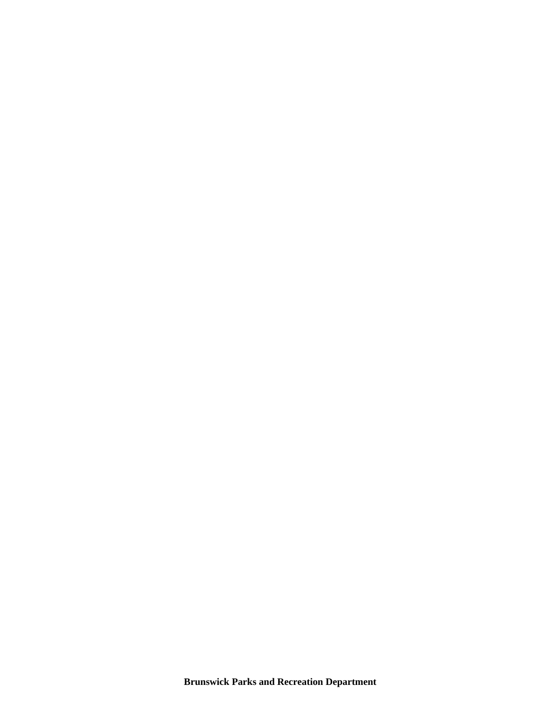**Brunswick Parks and Recreation Department**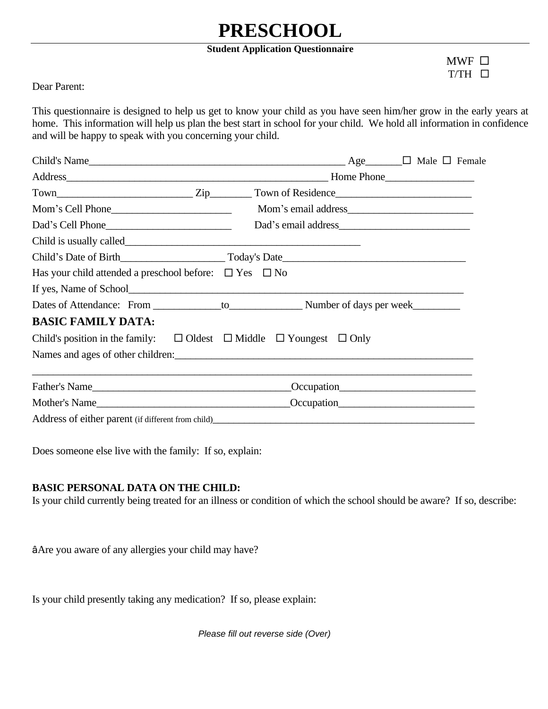# **PRESCHOOL**

#### **Student Application Questionnaire**

 $MWF$   $\square$  $T/TH$   $\Box$ 

Dear Parent:

This questionnaire is designed to help us get to know your child as you have seen him/her grow in the early years at home. This information will help us plan the best start in school for your child. We hold all information in confidence and will be happy to speak with you concerning your child.

|                                                                                                     | Child's Name $\Box$ Male $\Box$ Female                                |
|-----------------------------------------------------------------------------------------------------|-----------------------------------------------------------------------|
|                                                                                                     | Address Home Phone                                                    |
|                                                                                                     |                                                                       |
|                                                                                                     |                                                                       |
|                                                                                                     |                                                                       |
|                                                                                                     |                                                                       |
|                                                                                                     |                                                                       |
| Has your child attended a preschool before: $\Box$ Yes $\Box$ No                                    |                                                                       |
|                                                                                                     |                                                                       |
|                                                                                                     |                                                                       |
| <b>BASIC FAMILY DATA:</b>                                                                           |                                                                       |
| Child's position in the family: $\square$ Oldest $\square$ Middle $\square$ Youngest $\square$ Only |                                                                       |
|                                                                                                     | Names and ages of other children: example and ages of other children: |
| Father's Name                                                                                       |                                                                       |
|                                                                                                     |                                                                       |
|                                                                                                     |                                                                       |

Does someone else live with the family: If so, explain:

#### **BASIC PERSONAL DATA ON THE CHILD:**

Is your child currently being treated for an illness or condition of which the school should be aware? If so, describe:

âAre you aware of any allergies your child may have?

Is your child presently taking any medication? If so, please explain:

*Please fill out reverse side (Over)*